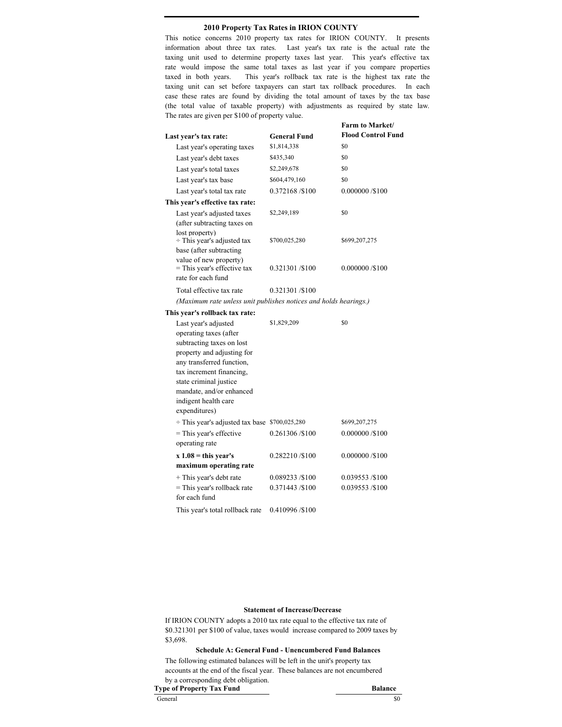# **2010 Property Tax Rates in IRION COUNTY**

This notice concerns 2010 property tax rates for IRION COUNTY. It presents information about three tax rates. Last year's tax rate is the actual rate the taxing unit used to determine property taxes last year. This year's effective tax rate would impose the same total taxes as last year if you compare properties taxed in both years. This year's rollback tax rate is the highest tax rate the taxing unit can set before taxpayers can start tax rollback procedures. In each case these rates are found by dividing the total amount of taxes by the tax base (the total value of taxable property) with adjustments as required by state law. The rates are given per \$100 of property value.

| Last year's tax rate:                                                                                                                                                                                                                                                                                                                                           | <b>General Fund</b>           | Farm to Market/<br><b>Flood Control Fund</b> |
|-----------------------------------------------------------------------------------------------------------------------------------------------------------------------------------------------------------------------------------------------------------------------------------------------------------------------------------------------------------------|-------------------------------|----------------------------------------------|
| Last year's operating taxes                                                                                                                                                                                                                                                                                                                                     | \$1,814,338                   | \$0                                          |
| Last year's debt taxes                                                                                                                                                                                                                                                                                                                                          | \$435,340                     | \$0                                          |
| Last year's total taxes                                                                                                                                                                                                                                                                                                                                         | \$2,249,678                   | \$0                                          |
| Last year's tax base                                                                                                                                                                                                                                                                                                                                            | \$604,479,160                 | \$0                                          |
| Last year's total tax rate                                                                                                                                                                                                                                                                                                                                      | 0.372168 /\$100               | 0.000000 / \$100                             |
| This year's effective tax rate:                                                                                                                                                                                                                                                                                                                                 |                               |                                              |
| Last year's adjusted taxes<br>(after subtracting taxes on<br>lost property)                                                                                                                                                                                                                                                                                     | \$2,249,189                   | \$0                                          |
| $\div$ This year's adjusted tax<br>base (after subtracting<br>value of new property)                                                                                                                                                                                                                                                                            | \$700,025,280                 | \$699,207,275                                |
| = This year's effective tax<br>rate for each fund                                                                                                                                                                                                                                                                                                               | 0.321301/\$100                | 0.000000 / 100                               |
| Total effective tax rate                                                                                                                                                                                                                                                                                                                                        | 0.321301/\$100                |                                              |
| (Maximum rate unless unit publishes notices and holds hearings.)                                                                                                                                                                                                                                                                                                |                               |                                              |
| This year's rollback tax rate:                                                                                                                                                                                                                                                                                                                                  |                               |                                              |
| Last year's adjusted<br>operating taxes (after<br>subtracting taxes on lost<br>property and adjusting for<br>any transferred function,<br>tax increment financing,<br>state criminal justice<br>mandate, and/or enhanced<br>indigent health care<br>expenditures)<br>÷ This year's adjusted tax base \$700,025,280<br>= This year's effective<br>operating rate | \$1,829,209<br>0.261306/\$100 | \$0<br>\$699,207,275<br>0.000000 /\$100      |
| $x 1.08 = this year's$                                                                                                                                                                                                                                                                                                                                          | 0.282210/\$100                | 0.000000 / \$100                             |
| maximum operating rate                                                                                                                                                                                                                                                                                                                                          |                               |                                              |
| + This year's debt rate                                                                                                                                                                                                                                                                                                                                         | 0.089233/\$100                | 0.039553/\$100                               |
| = This year's rollback rate<br>for each fund                                                                                                                                                                                                                                                                                                                    | 0.371443 / \$100              | 0.039553 /\$100                              |
| This year's total rollback rate                                                                                                                                                                                                                                                                                                                                 | 0.410996 /\$100               |                                              |

### **Statement of Increase/Decrease**

If IRION COUNTY adopts a 2010 tax rate equal to the effective tax rate of \$0.321301 per \$100 of value, taxes would increase compared to 2009 taxes by \$3,698.

# **Schedule A: General Fund - Unencumbered Fund Balances**

The following estimated balances will be left in the unit's property tax accounts at the end of the fiscal year. These balances are not encumbered by a corresponding debt obligation. **Type of Property Tax Fund Balance**